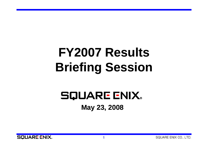# **FY2007 Results Briefing Session**

## **SQUARE ENIX.** May 23, 2008

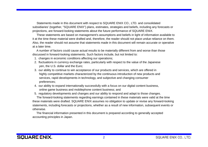Statements made in this document with respect to SQUARE ENIX CO., LTD. and consolidated subsidiaries' (together, "SQUARE ENIX") plans, estimates, strategies and beliefs, including any forecasts or projections, are forward-looking statements about the future performance of SQUARE ENIX.

These statements are based on management's assumptions and beliefs in light of information available to it at the time these material were drafted and, therefore, the reader should not place undue reliance on them. Also, the reader should not assume that statements made in this document will remain accurate or operative at a later time.

A number of factors could cause actual results to be materially different from and worse than those discussed in forward-looking statements. Such factors include, but not limited to:

- 1. changes in economic conditions affecting our operations;
- 2. fluctuations in currency exchange rates, particularly with respect to the value of the Japanese yen, the U.S. dollar and the Euro;
- 3. our ability to continue to win acceptance of our products and services, which are offered in highly competitive markets characterized by the continuous introduction of new products and services, rapid developments in technology, and subjective and changing consumer preferences;
- 4. our ability to expand internationally successfully with a focus on our digital content business, online game business and mobilephone content business; and
- 5. regulatory developments and changes and our ability to respond and adapt to those changes.

The forward-looking statements regarding earnings contained in these materials were valid at the time these materials were drafted. SQUARE ENIX assumes no obligation to update or revise any forward-looking statements, including forecasts or projections, whether as a result of new information, subsequent events or otherwise.

The financial information presented in this document is prepared according to generally accepted accounting principles in Japan.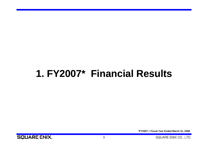## **1 FY2007 1. FY2007\* Financial Results**

**\*FY2007 = Fiscal Year Ended March 31, 2008**

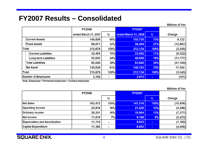### **FY2007 Results – Consolidated**

**Millions of Yen** 

|              |                              | <b>FY2006</b>        |         | <b>FY2007</b>        |      |           |
|--------------|------------------------------|----------------------|---------|----------------------|------|-----------|
|              |                              | ended March 31, 2007 | %       | ended March 31, 2008 | %    | Change    |
|              | <b>Current Assets</b>        | 146,608              | 68%     | 155,730              | 73%  | 9,122     |
|              | <b>Fixed Assets</b>          | 69,071               | 32%     | 56,404               | 27%  | (12, 667) |
|              | <b>Total</b>                 | 215,679              | $100\%$ | 212,134              | 100% | (3, 545)  |
|              | <b>Current Liabilities</b>   | 32,404               | 15%     | 23,082               | 11%  | (9, 322)  |
|              | <b>Long-term Liabilities</b> | 52,635               | 24%     | 40,858               | 19%  | (11, 777) |
|              | <b>Total Liabilities</b>     | 85,040               | 39%     | 63,940               | 30%  | (21, 100) |
|              | <b>Net Asset</b>             | 130,639              | 61%     | 148,193              | 70%  | 17,554    |
| <b>Total</b> |                              | 215,679              | $100\%$ | 212,134              | 100% | (3, 545)  |
|              | Number of Employees          | 3,164                |         | 2,973                | ۰.   | (191)     |

Note: Employees = Permanent employees + Contract employees

**Millions of Yen** 

|                               | <b>FY2006</b> |                | <b>FY2007</b> |                |           |
|-------------------------------|---------------|----------------|---------------|----------------|-----------|
|                               |               | %              |               | %              | Change    |
| <b>Net Sales</b>              | 163,472       | $100\%$        | 147,516       | 100%           | (15, 956) |
| <b>Operating Income</b>       | 25,916        | 16%            | 21,520        | 15%            | (4, 396)  |
| <b>Ordinary Income</b>        | 26,241        | 16%            | 18,864        | 13%            | (7, 377)  |
| Net Income                    | 11,619        | 7%             | 9,196         | 6%             | (2, 423)  |
| Depreciation and Amortization | 11,115        | $\blacksquare$ | 9,933         | $\mathbf{m}$   | (1, 182)  |
| <b>Capital Expenditure</b>    | 11,360        | $\blacksquare$ | 6,952         | $\blacksquare$ | (4, 408)  |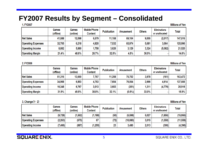### FY2007 Results by Segment - Consolidated

#### 1. FY2007

#### **Millions of Yen**

|                           | Games<br>(offline) | Games<br>(online) | <b>Mobile Phone</b><br>Content | <b>Publication</b> | <b>Amusement</b> | <b>Others</b> | <b>Eliminations</b><br>or unallocated | Total   |
|---------------------------|--------------------|-------------------|--------------------------------|--------------------|------------------|---------------|---------------------------------------|---------|
| <b>Net Sales</b>          | 41,588             | 12,098            | 6,579                          | 11,158             | 69,104           | 9,005         | (2,017)                               | 147,516 |
| <b>Operating Expenses</b> | 32,705             | 6,218             | 4,820                          | 7.532              | 65,974           | 5,681         | 3,064                                 | 125,996 |
| <b>Operating Income</b>   | 8,882              | 5,880             | 1,758                          | 3,626              | 3,129            | 3,324         | (5,082)                               | 21,520  |
| <b>Operating Margin</b>   | 21.4%              | 48.6%             | 26.7%                          | 32.5%              | 4.5%             | 36.9%         |                                       | 14.6%   |

2. FY2006

**Millions of Yen** 

|                           | Games<br>(offline) | Games<br>(online) | <b>Mobile Phone</b><br>Content | <b>Publication</b> | Amusement | <b>Others</b> | <b>Eliminations</b><br>or unallocated | Total   |
|---------------------------|--------------------|-------------------|--------------------------------|--------------------|-----------|---------------|---------------------------------------|---------|
| <b>Net Sales</b>          | 51,316             | 13,660            | 7,767                          | 11,208             | 75,702    | 3,978         | (161)                                 | 163,472 |
| <b>Operating Expenses</b> | 34,968             | 6,893             | 4,753                          | 7,604              | 76,054    | 2,666         | 4,614                                 | 137,555 |
| <b>Operating Income</b>   | 16,348             | 6,767             | 3,013                          | 3,603              | (351)     | 1,311         | (4,776)                               | 25,916  |
| <b>Operating Margin</b>   | 31.9%              | 49.5%             | 38.8%                          | 32.1%              | $(0.5\%)$ | 33.0%         |                                       | 15.9%   |

3. Change  $(1 - 2)$ 

**Millions of Yen** 

|                           | Games<br>(offline) | Games<br>(online) | <b>Mobile Phone</b><br>Content | <b>Publication</b> | Amusement | <b>Others</b> | <b>Eliminations</b><br>or unallocated | Total     |
|---------------------------|--------------------|-------------------|--------------------------------|--------------------|-----------|---------------|---------------------------------------|-----------|
| <b>Net Sales</b>          | (9,728)            | (1, 562)          | (1, 188)                       | (50)               | (6, 598)  | 5,027         | (1, 856)                              | (15,956)  |
| <b>Operating Expenses</b> | (2, 263)           | (675)             | 67                             | (72)               | (10,080)  | 3,015         | (1, 550)                              | (11, 559) |
| <b>Operating Income</b>   | 7,466              | (887)             | (1, 255)                       | 23                 | 3,480     | 2,013         | (306)                                 | (4, 396)  |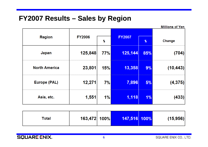#### **FY2007 Results – Sales by Region**

**Millions of Yen Region FY2006 FY2007**  $\%$  $\%$ Change 77%  $125,144$  $(704)$ Japan 125,848 85% 23,801 13,358  $(10, 443)$ **North America** 15%  $9%$ 12,271  $7%$ **Europe (PAL)** 7,896  $(4, 375)$  $5%$  $1,551$  $1,118$  $(433)$  $1%$ Asia, etc.  $1%$ 

| Total | 163,472 100% |  | 147,516 100% |  | (15,956) |
|-------|--------------|--|--------------|--|----------|
|-------|--------------|--|--------------|--|----------|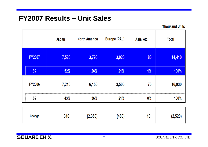### **FY2007 Results – Unit Sales**

**Thousand Units** 

|               | Japan | <b>North America</b> | Europe (PAL) | Asia, etc. | <b>Total</b> |
|---------------|-------|----------------------|--------------|------------|--------------|
| <b>FY2007</b> | 7,520 | 3,790                | 3,020        | 80         | 14,410       |
| %             | 52%   | 26%                  | 21%          | $1\%$      | 100%         |
| <b>FY2006</b> | 7,210 | 6,150                | 3,500        | 70         | 16,930       |
| %             | 43%   | 36%                  | 21%          | $0\%$      | 100%         |
|               |       |                      |              |            |              |

| 310<br>Change | (2, 360) | (480) | 10 | (2, 520) |
|---------------|----------|-------|----|----------|
|---------------|----------|-------|----|----------|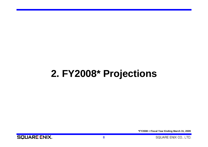## **2 FY2008 2. FY2008\* Projections**

**\*FY2008 = Fiscal Year Ending March 31, 2009**

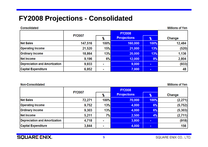### **FY2008 Projections - Consolidated**

Consolidated

**Millions of Yen** 

|                               | <b>FY2007</b> |      | <b>FY2008</b>       |                |        |
|-------------------------------|---------------|------|---------------------|----------------|--------|
|                               |               |      | <b>Prrojections</b> | $\%$           | Change |
| <b>Net Sales</b>              | 147,516       | 100% | 160,000             | 100%           | 12,484 |
| <b>Operating Income</b>       | 21,520        | 15%  | 21,000              | 13%            | (520)  |
| <b>Ordinary Income</b>        | 18,864        | 13%  | 20,000              | 13%            | 1,136  |
| Net Income                    | 9,196         | 6%   | 12,000              | 8%             | 2,804  |
| Depreciation and Amortization | 9,933         |      | 9,000               | $\blacksquare$ | (933)  |
| <b>Capital Expenditure</b>    | 6,952         |      | 7,000               | $\blacksquare$ | 48     |

#### Non-Consolidated

**Millions of Yen** 

|                               | <b>FY2007</b> |      | <b>FY2008</b>       |                |          |
|-------------------------------|---------------|------|---------------------|----------------|----------|
|                               |               |      | <b>Prrojections</b> | $\frac{a}{b}$  | Change   |
| <b>Net Sales</b>              | 72,271        | 100% | 70,000              | 100%           | (2, 271) |
| <b>Operating Income</b>       | 9,752         | 13%  | 4,000               | 6%             | (5,752)  |
| <b>Ordinary Income</b>        | 9,303         | 13%  | 4,000               | 6%             | (5, 303) |
| <b>Net Income</b>             | 5,211         | 7%   | 2,500               | 4%             | (2,711)  |
| Depreciation and Amortization | 4,718         |      | 3,800               |                | (918)    |
| <b>Capital Expenditure</b>    | 3,844         |      | 4,000               | $\blacksquare$ | 156      |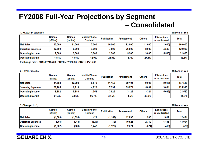### **FY2008 Full-Year Projections by Segment** - Consolidated

#### 1. FY2008 Projections

**Millions of Yen** 

|                           | Games<br>(offline) | Games<br>(online) | <b>Mobile Phone</b><br>Content | <b>Publication</b> | Amusement | <b>Others</b> | <b>Eliminations</b><br>or unallocated | Total   |
|---------------------------|--------------------|-------------------|--------------------------------|--------------------|-----------|---------------|---------------------------------------|---------|
| <b>Net Sales</b>          | 40,000             | 11,000            | 7,000                          | 10,000             | 82,000    | 11,000        | (1,000)                               | 160,000 |
| <b>Operating Expenses</b> | 32,500             | 6,000             | 4,000                          | 7,500              | 76,500    | 8,000         | 4,500                                 | 139,000 |
| <b>Operating Income</b>   | 7,500              | 5,000             | 3,000                          | 2,500              | 5,500     | 3,000         | (5,500)                               | 21,000  |
| <b>Operating Margin</b>   | 18.8%              | 45.5%             | 42.9%                          | 25.0%              | 6.7%      | 27.3%         |                                       | 13.1%   |

Exchange rate:USD1=JPY105.00, EUR1=JPY150.00, CNY1=JPY15.00

#### 2. FY2007 results

**Millions of Yen** 

|                           | Games<br>(offline) | Games<br>(online) | <b>Mobile Phone</b><br><b>Content</b> | <b>Publication</b> | <b>Amusement</b> | <b>Others</b> | <b>Eliminations</b><br>or unallocated | <b>Total</b> |
|---------------------------|--------------------|-------------------|---------------------------------------|--------------------|------------------|---------------|---------------------------------------|--------------|
| <b>Net Sales</b>          | 41,588             | 12,098            | 6,579                                 | 11,158             | 69,104           | 9,005         | (2,017)                               | 147,516      |
| <b>Operating Expenses</b> | 32,705             | 6,218             | 4,820                                 | 7,532              | 65,974           | 5,681         | 3,064                                 | 125,996      |
| <b>Operating Income</b>   | 8,882              | 5,880             | 1,758                                 | 3,626              | 3,129            | 3,324         | (5,082)                               | 21,520       |
| <b>Operating Margin</b>   | 21.4%              | 48.6%             | 26.7%                                 | 32.5%              | 4.5%             | 36.9%         |                                       | 14.6%        |

#### 3. Change  $(1-2)$

**Millions of Yen** 

|                           | Games<br>(offline) | Games<br>(online) | <b>Mobile Phone</b><br>Content | <b>Publication</b> | Amusement | <b>Others</b> | Eliminations<br>or unallocated | <b>Total</b> |
|---------------------------|--------------------|-------------------|--------------------------------|--------------------|-----------|---------------|--------------------------------|--------------|
| <b>Net Sales</b>          | (1,588)            | (1,098)           | 421                            | (1, 158)           | 12,896    | 1,995         | 1,017                          | 12,484       |
| <b>Operating Expenses</b> | (205)              | (218)             | (820)                          | (32)               | 10,526    | 2,319         | 1,436                          | 13,004       |
| <b>Operating Income</b>   | (1, 382)           | (880)             | .242                           | (1, 126)           | 2,371     | (324)         | (418)                          | (520)        |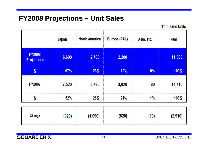### **FY2008 Projections – Unit Sales**

**Thousand Units** 

|                                     | Japan | <b>North America</b> | Europe (PAL) | Asia, etc. | <b>Total</b> |
|-------------------------------------|-------|----------------------|--------------|------------|--------------|
| <b>FY2008</b><br><b>Projections</b> | 6,600 | 2,700                | 2,200        |            | 11,500       |
| $\boldsymbol{\%}$                   | 57%   | 23%                  | 19%          | 0%         | 100%         |
| <b>FY2007</b>                       | 7,520 | 3,790                | 3,020        | 80         | 14,410       |
| %                                   | 52%   | <b>26%</b>           | 21%          | $1\%$      | 100%         |
|                                     |       |                      |              |            |              |

| (920)<br>Change | (1,090) | (820) | (80) | (2,910) |
|-----------------|---------|-------|------|---------|
|-----------------|---------|-------|------|---------|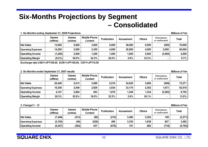### **Six-Months Projections by Segment** - Consolidated

#### 1. Six-Months ending September 31, 2008 Projections

**Millions of Yen** 

|                           | Games<br>(offline) | Games<br>(online) | <b>Mobile Phone</b><br>Content | <b>Publication</b> | Amusement | <b>Others</b> | <b>Eliminations</b><br>or unallocated | Total   |
|---------------------------|--------------------|-------------------|--------------------------------|--------------------|-----------|---------------|---------------------------------------|---------|
| <b>Net Sales</b>          | 13,000             | 5,000             | 3,500                          | 5,000              | 38,000    | 6,000         | (500)                                 | 70,000  |
| <b>Operating Expenses</b> | 14,200             | 2,500             | 2,300                          | 4,000              | 36,500    | 4,000         | 2,500                                 | 66,000  |
| <b>Operating Income</b>   | (1, 200)           | 2,500             | 1,200                          | 1,000              | .500      | 2,000         | (3,000)                               | 4,000   |
| <b>Operating Margin</b>   | $(9.2\%)$          | 50.0%             | 34.3%                          | 20.0%              | $3.9\%$   | 33.3%         |                                       | $5.7\%$ |

Exchange rate: USD1=JPY105.00, EUR1=JPY150.00, CNY1=JPY15.00

#### 2. Six-Months ended September 31, 2007 results

**Millions of Yen Mobile Phone Games Games Eliminations Publication Others Amusement** Total or unallocated (offline) (online) Content **Net Sales** 20.448 5.413 3.589 5,210 34,520 3.696  $(608)$ 72.271 **Operating Expenses** 16,300 2,549 2.926 3.534 33,170 2,362 1.673 62.518 **Operating Income** 4,147 2,864 663 1,676 1,349 1,334  $(2, 282)$ 9,752 **Operating Margin** 52.9% 18.5% 13.5% 20.3% 32.2% 3.9% 36.1%  $\sim$ 

#### 3. Change  $(1-2)$

|                           | Games<br>(offline) | Games<br>(online) | <b>Mobile Phone</b><br>Content | <b>Publication</b> | Amusement | <b>Others</b> | <b>Eliminations</b><br>or unallocated | <b>Total</b> |
|---------------------------|--------------------|-------------------|--------------------------------|--------------------|-----------|---------------|---------------------------------------|--------------|
| <b>Net Sales</b>          | (7, 448)           | (413)             | (89)                           | (210)              | 3,480     | 2,304         | 108                                   | (2, 271)     |
| <b>Operating Expenses</b> | (2, 100)           | (49)              | (626)                          | 466                | 3,330     | 1,638         | 827                                   | 3,482        |
| <b>Operating Income</b>   | (5, 347)           | (364)             | 537                            | (676)              | 151       | 666           | (718)                                 | (5,752)      |

**SQUARE ENIX.** 

#### 12

SQUARE ENIX CO., LTD.

**Millions of Yen**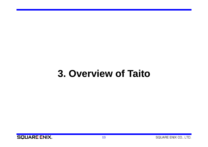## **3 Overview of Taito 3.**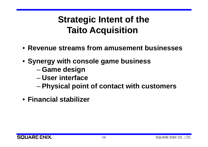## **Strategic Intent of the Taito Acquisition**

- **Revenue streams from amusement businesses**
- **Synergy with console game business**
	- –**Game design**
	- **User interface**
	- –**Physical point of contact with customers**
- **Financial stabilizer**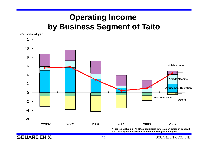### **Operating Income by Business Segment of Taito**

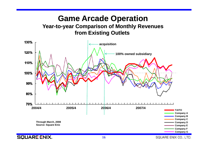#### **Game Arcade Operation Year-to-year Comparison of Monthly Revenues from Existing Outlets**

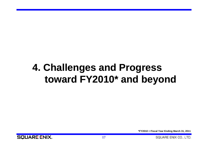## **4. Challenges and Progress toward FY2010\* and beyond**

**\*FY2010 = Fiscal Year Ending March 31, 2011**

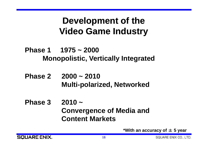## **Development of the Video Game Industry**

**Phase 1 1975 ~ 2000**Monopolistic, Vertically Integrated

- **Phase 2 2000 ~ 2010Multi-polarized, Networked**
- **Phase 3 2010 <sup>~</sup>Convergence of Media and Content Markets**

**\*With an accuracy of**  ± **5 year**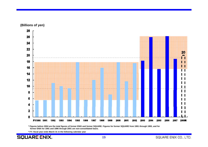

**(Billions of yen)**

**\* Figures before 2004 are the total figures of former ENIX and former SQUARE. Figures for former SQUARE from 1991 through 1993, and for former ENIX for 1991 and 1996 through 2001 are non-consolidated basis.**

**\* FY: fiscal year ends March 31 in the following calendar year**

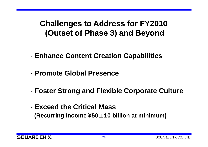### **Challenges to Address for FY2010 (Outset of Phase 3) and Beyond**

- **Enhance Content Creation Capabilities**
- **Promote Global Presence**-\_\_\_\_\_\_\_\_\_\_\_\_\_\_\_\_\_\_\_\_\_\_\_\_
- **Foster Strong and Flexible Corporate Culture**
- **Exceed the Critical Mass (Recurring Income ¥50** <sup>±</sup>**10 billion at minimum)**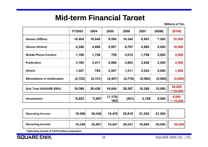### **Mid-term Financial Target**

**Millions of Yen** 

|                                    | <b>FY2003</b> | 2004     | 2005             | 2006    | 2007    | 2008E   | 2010E                   |
|------------------------------------|---------------|----------|------------------|---------|---------|---------|-------------------------|
| <b>Games (Offline)</b>             | 16,404        | 19,649   | 9,590            | 16,348  | 8,882   | 7,500   | 20,000                  |
| <b>Games (Online)</b>              | 2,348         | 4,986    | 5,907            | 6,767   | 5,880   | 5,000   | 10,000                  |
| <b>Mobile Phone Content</b>        | 1,159         | 1,738    | 726              | 3,013   | 1,758   | 3,000   | 3,000                   |
| <b>Publication</b>                 | 3,180         | 3,411    | 2,866            | 3,603   | 3,626   | 2,500   | 4,000                   |
| <b>Others</b>                      | 1,027         | 782      | 2,007            | 1,311   | 3,324   | 3,000   | 1,000                   |
| <b>Eliminations or Unallocated</b> | (4, 722)      | (4, 131) | (4, 457)         | (4,776) | (5,082) | (5,500) | (5,000)                 |
| <b>Sub Total (SQUARE ENIX)</b>     | 19,398        | 26,438   | 16,640           | 26,267  | 18,388  | 15,500  | 25,000<br>$\sim$ 35,000 |
| <b>Amusement</b>                   | $*5,823$      | $*2,907$ | (1, 170)<br>*905 | (351)   | 3,129   | 5,500   | 5,000<br>~15,000        |
|                                    |               |          |                  |         |         |         |                         |
| <b>Operating Income</b>            | 19,398        | 26,438   | 15,470           | 25,916  | 21,520  | 21,000  |                         |

| <b>Recurring Income</b> | 18,248 | 25,901 | 15,547 | 26,241 | 18,864 | 20,000 |  |
|-------------------------|--------|--------|--------|--------|--------|--------|--|

**\* Operating income of TAITO before acquisition**